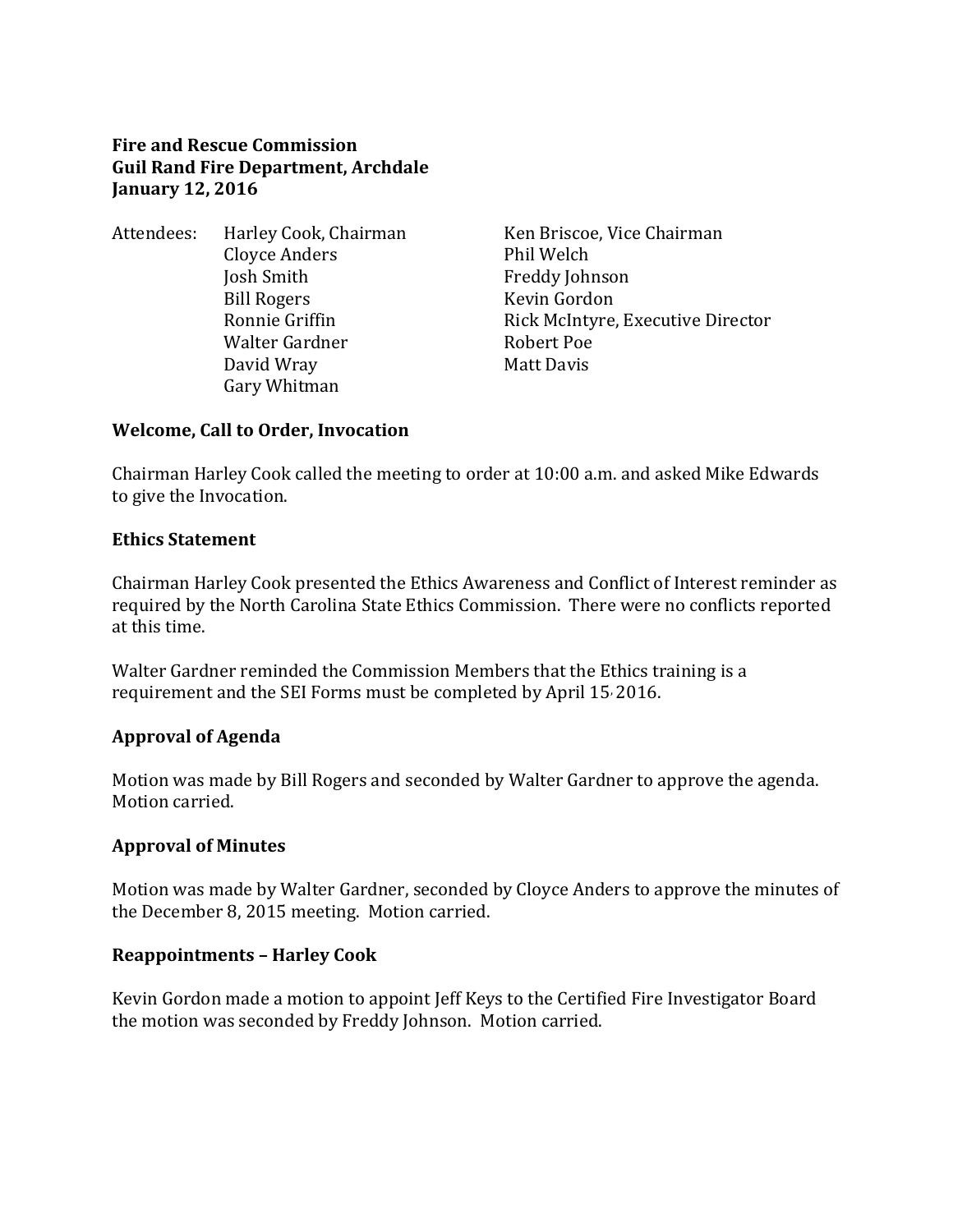#### **Fire and Rescue Commission Guil Rand Fire Department, Archdale January 12, 2016**

Attendees: Harley Cook, Chairman Ken Briscoe, Vice Chairman Cloyce Anders Phil Welch Josh Smith Freddy Johnson Bill Rogers Kevin Gordon Walter Gardner **Robert Poe** David Wray **Matt Davis** Gary Whitman

Ronnie Griffin **Rick McIntyre, Executive Director** 

#### **Welcome, Call to Order, Invocation**

Chairman Harley Cook called the meeting to order at 10:00 a.m. and asked Mike Edwards to give the Invocation.

#### **Ethics Statement**

Chairman Harley Cook presented the Ethics Awareness and Conflict of Interest reminder as required by the North Carolina State Ethics Commission. There were no conflicts reported at this time.

Walter Gardner reminded the Commission Members that the Ethics training is a requirement and the SEI Forms must be completed by April 15, 2016.

#### **Approval of Agenda**

Motion was made by Bill Rogers and seconded by Walter Gardner to approve the agenda. Motion carried.

#### **Approval of Minutes**

Motion was made by Walter Gardner, seconded by Cloyce Anders to approve the minutes of the December 8, 2015 meeting. Motion carried.

#### **Reappointments – Harley Cook**

Kevin Gordon made a motion to appoint Jeff Keys to the Certified Fire Investigator Board the motion was seconded by Freddy Johnson. Motion carried.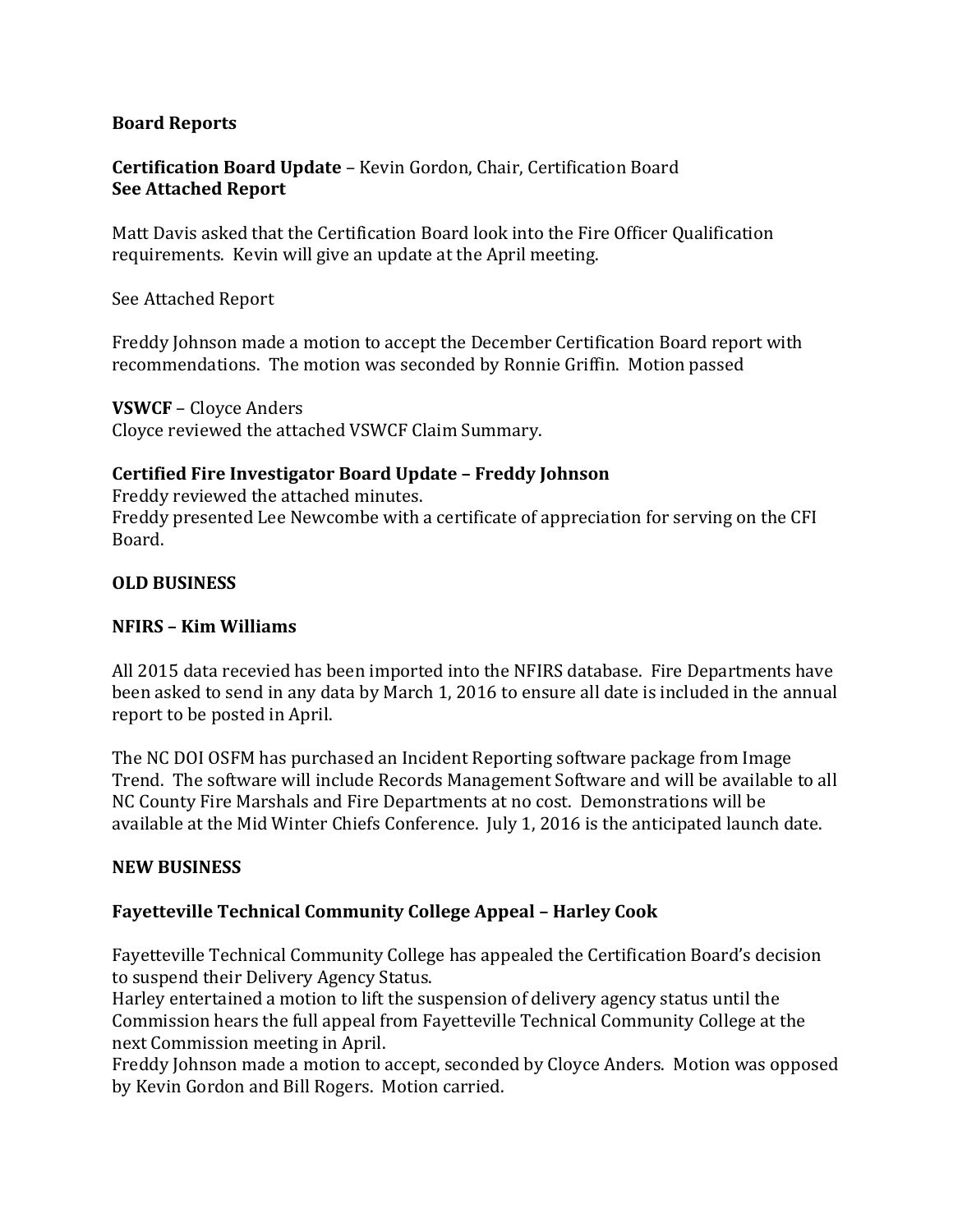#### **Board Reports**

## **Certification Board Update** – Kevin Gordon, Chair, Certification Board **See Attached Report**

Matt Davis asked that the Certification Board look into the Fire Officer Qualification requirements. Kevin will give an update at the April meeting.

See Attached Report

Freddy Johnson made a motion to accept the December Certification Board report with recommendations. The motion was seconded by Ronnie Griffin. Motion passed

**VSWCF** – Cloyce Anders

Cloyce reviewed the attached VSWCF Claim Summary.

## **Certified Fire Investigator Board Update – Freddy Johnson**

Freddy reviewed the attached minutes. Freddy presented Lee Newcombe with a certificate of appreciation for serving on the CFI Board.

## **OLD BUSINESS**

### **NFIRS – Kim Williams**

All 2015 data recevied has been imported into the NFIRS database. Fire Departments have been asked to send in any data by March 1, 2016 to ensure all date is included in the annual report to be posted in April.

The NC DOI OSFM has purchased an Incident Reporting software package from Image Trend. The software will include Records Management Software and will be available to all NC County Fire Marshals and Fire Departments at no cost. Demonstrations will be available at the Mid Winter Chiefs Conference. July 1, 2016 is the anticipated launch date.

## **NEW BUSINESS**

## **Fayetteville Technical Community College Appeal – Harley Cook**

Fayetteville Technical Community College has appealed the Certification Board's decision to suspend their Delivery Agency Status.

Harley entertained a motion to lift the suspension of delivery agency status until the Commission hears the full appeal from Fayetteville Technical Community College at the next Commission meeting in April.

Freddy Johnson made a motion to accept, seconded by Cloyce Anders. Motion was opposed by Kevin Gordon and Bill Rogers. Motion carried.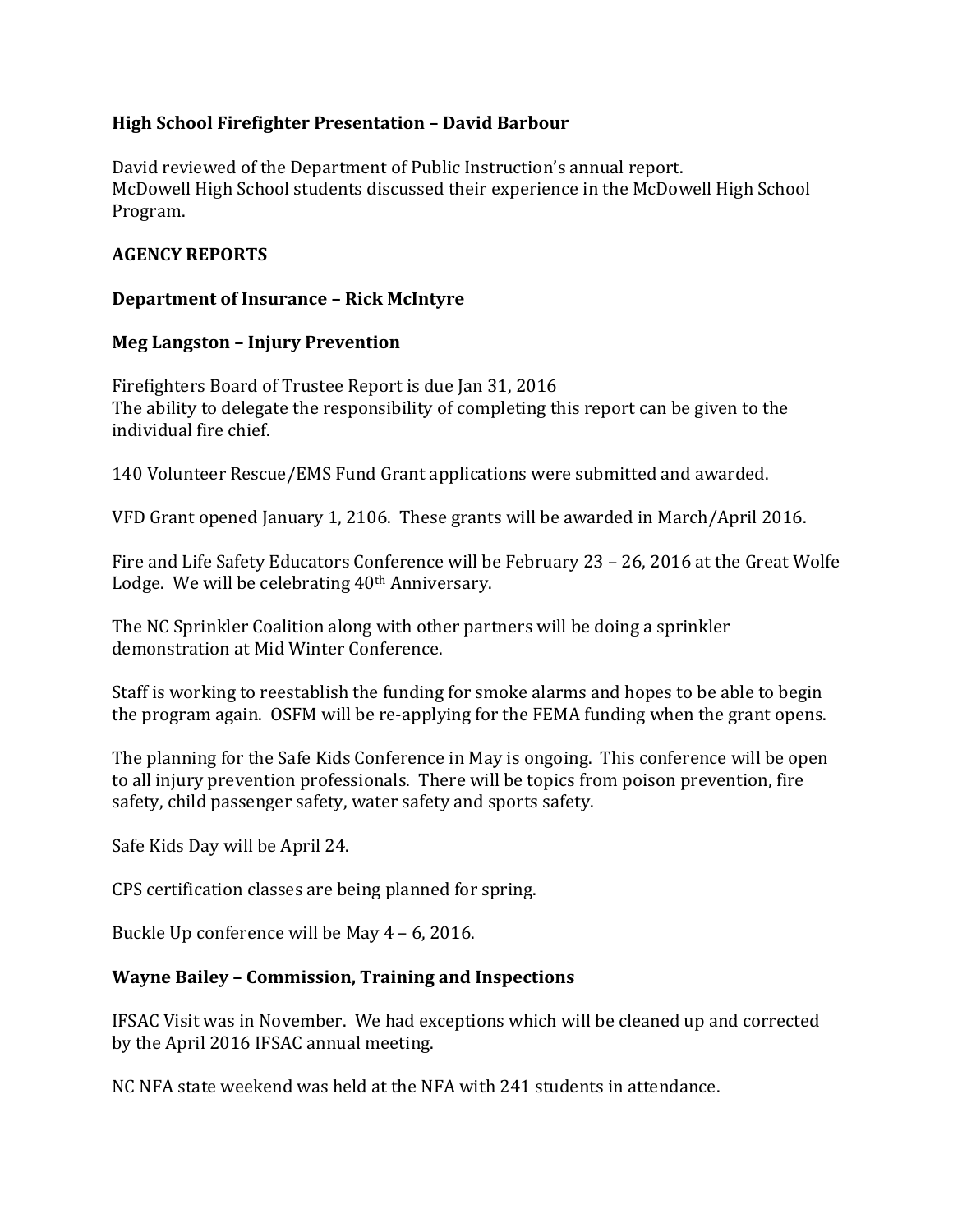### **High School Firefighter Presentation – David Barbour**

David reviewed of the Department of Public Instruction's annual report. McDowell High School students discussed their experience in the McDowell High School Program.

### **AGENCY REPORTS**

#### **Department of Insurance – Rick McIntyre**

#### **Meg Langston – Injury Prevention**

Firefighters Board of Trustee Report is due Jan 31, 2016 The ability to delegate the responsibility of completing this report can be given to the individual fire chief.

140 Volunteer Rescue/EMS Fund Grant applications were submitted and awarded.

VFD Grant opened January 1, 2106. These grants will be awarded in March/April 2016.

Fire and Life Safety Educators Conference will be February 23 – 26, 2016 at the Great Wolfe Lodge. We will be celebrating 40<sup>th</sup> Anniversary.

The NC Sprinkler Coalition along with other partners will be doing a sprinkler demonstration at Mid Winter Conference.

Staff is working to reestablish the funding for smoke alarms and hopes to be able to begin the program again. OSFM will be re-applying for the FEMA funding when the grant opens.

The planning for the Safe Kids Conference in May is ongoing. This conference will be open to all injury prevention professionals. There will be topics from poison prevention, fire safety, child passenger safety, water safety and sports safety.

Safe Kids Day will be April 24.

CPS certification classes are being planned for spring.

Buckle Up conference will be May 4 – 6, 2016.

#### **Wayne Bailey – Commission, Training and Inspections**

IFSAC Visit was in November. We had exceptions which will be cleaned up and corrected by the April 2016 IFSAC annual meeting.

NC NFA state weekend was held at the NFA with 241 students in attendance.